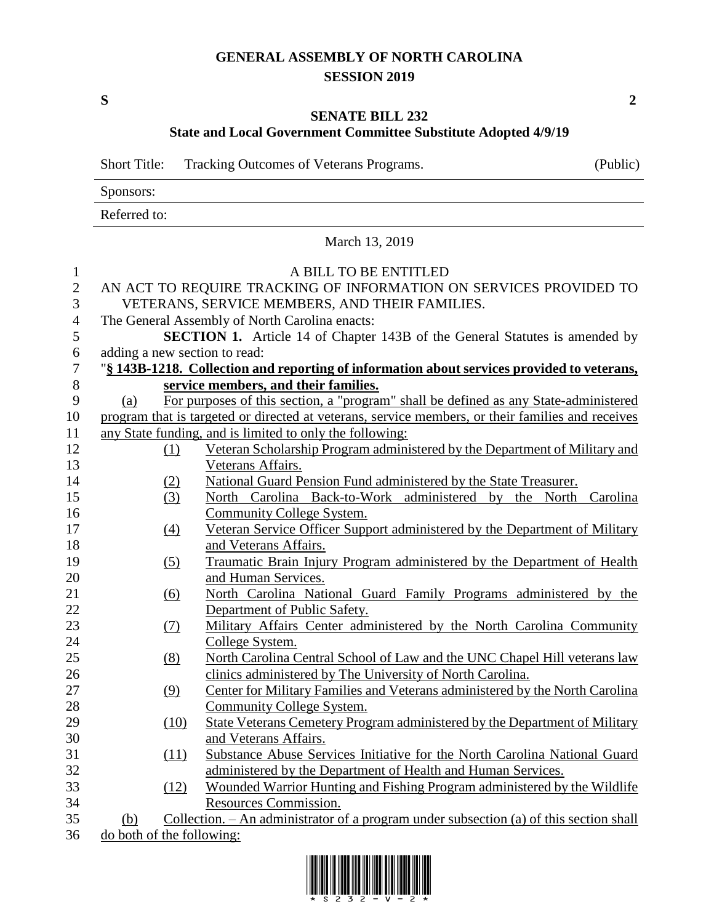## **GENERAL ASSEMBLY OF NORTH CAROLINA SESSION 2019**

**S 2**

## **SENATE BILL 232**

**State and Local Government Committee Substitute Adopted 4/9/19**

Short Title: Tracking Outcomes of Veterans Programs. (Public)

Sponsors:

Referred to:

## March 13, 2019 A BILL TO BE ENTITLED AN ACT TO REQUIRE TRACKING OF INFORMATION ON SERVICES PROVIDED TO VETERANS, SERVICE MEMBERS, AND THEIR FAMILIES. The General Assembly of North Carolina enacts: **SECTION 1.** Article 14 of Chapter 143B of the General Statutes is amended by adding a new section to read: "**§ 143B-1218. Collection and reporting of information about services provided to veterans, service members, and their families.** (a) For purposes of this section, a "program" shall be defined as any State-administered program that is targeted or directed at veterans, service members, or their families and receives any State funding, and is limited to only the following: (1) Veteran Scholarship Program administered by the Department of Military and Veterans Affairs. (2) National Guard Pension Fund administered by the State Treasurer. (3) North Carolina Back-to-Work administered by the North Carolina Community College System. (4) Veteran Service Officer Support administered by the Department of Military 18 and Veterans Affairs. (5) Traumatic Brain Injury Program administered by the Department of Health and Human Services. (6) North Carolina National Guard Family Programs administered by the Department of Public Safety. (7) Military Affairs Center administered by the North Carolina Community College System. (8) North Carolina Central School of Law and the UNC Chapel Hill veterans law clinics administered by The University of North Carolina. (9) Center for Military Families and Veterans administered by the North Carolina Community College System. (10) State Veterans Cemetery Program administered by the Department of Military and Veterans Affairs. (11) Substance Abuse Services Initiative for the North Carolina National Guard administered by the Department of Health and Human Services. (12) Wounded Warrior Hunting and Fishing Program administered by the Wildlife Resources Commission. (b) Collection. – An administrator of a program under subsection (a) of this section shall do both of the following: